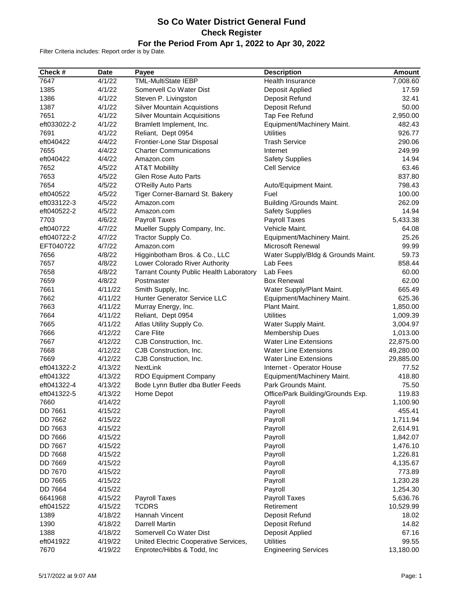## **So Co Water District General Fund Check Register For the Period From Apr 1, 2022 to Apr 30, 2022**

Filter Criteria includes: Report order is by Date.

| Check #        | <b>Date</b> | Payee                                          | <b>Description</b>                 | <b>Amount</b> |
|----------------|-------------|------------------------------------------------|------------------------------------|---------------|
| 7647           | 4/1/22      | <b>TML-MultiState IEBP</b>                     | Health Insurance                   | 7,008.60      |
| 1385           | 4/1/22      | Somervell Co Water Dist                        | Deposit Applied                    | 17.59         |
| 1386           | 4/1/22      | Steven P. Livingston                           | Deposit Refund                     | 32.41         |
| 1387           | 4/1/22      | <b>Silver Mountain Acquistions</b>             | Deposit Refund                     | 50.00         |
| 7651           | 4/1/22      | <b>Silver Mountain Acquisitions</b>            | Tap Fee Refund                     | 2,950.00      |
| eft033022-2    | 4/1/22      | Bramlett Implement, Inc.                       | Equipment/Machinery Maint.         | 482.43        |
| 7691           | 4/1/22      | Reliant, Dept 0954                             | <b>Utilities</b>                   | 926.77        |
| eft040422      | 4/4/22      | Frontier-Lone Star Disposal                    | <b>Trash Service</b>               | 290.06        |
| 7655           | 4/4/22      | <b>Charter Communications</b>                  | Internet                           | 249.99        |
| eft040422      | 4/4/22      | Amazon.com                                     | <b>Safety Supplies</b>             | 14.94         |
| 7652           | 4/5/22      | <b>AT&amp;T Mobililty</b>                      | <b>Cell Service</b>                | 63.46         |
| 7653           | 4/5/22      | Glen Rose Auto Parts                           |                                    | 837.80        |
| 7654           | 4/5/22      | O'Reilly Auto Parts                            | Auto/Equipment Maint.              | 798.43        |
| eft040522      | 4/5/22      | Tiger Corner-Barnard St. Bakery                | Fuel                               | 100.00        |
| eft033122-3    | 4/5/22      | Amazon.com                                     | Building / Grounds Maint.          | 262.09        |
| eft040522-2    | 4/5/22      | Amazon.com                                     | <b>Safety Supplies</b>             | 14.94         |
| 7703           | 4/6/22      | Payroll Taxes                                  | Payroll Taxes                      | 5,433.38      |
| eft040722      | 4/7/22      | Mueller Supply Company, Inc.                   | Vehicle Maint.                     | 64.08         |
| eft040722-2    | 4/7/22      | Tractor Supply Co.                             | Equipment/Machinery Maint.         | 25.26         |
| EFT040722      | 4/7/22      | Amazon.com                                     | <b>Microsoft Renewal</b>           | 99.99         |
| 7656           | 4/8/22      | Higginbotham Bros. & Co., LLC                  | Water Supply/Bldg & Grounds Maint. | 59.73         |
| 7657           | 4/8/22      | Lower Colorado River Authority                 | Lab Fees                           | 858.44        |
| 7658           | 4/8/22      | <b>Tarrant County Public Health Laboratory</b> | Lab Fees                           | 60.00         |
| 7659           | 4/8/22      | Postmaster                                     | <b>Box Renewal</b>                 | 62.00         |
| 7661           | 4/11/22     | Smith Supply, Inc.                             | Water Supply/Plant Maint.          | 665.49        |
| 7662           | 4/11/22     | Hunter Generator Service LLC                   | Equipment/Machinery Maint.         | 625.36        |
| 7663           | 4/11/22     | Murray Energy, Inc.                            | Plant Maint.                       | 1,850.00      |
| 7664           | 4/11/22     | Reliant, Dept 0954                             | <b>Utilities</b>                   | 1,009.39      |
| 7665           | 4/11/22     | Atlas Utility Supply Co.                       | Water Supply Maint.                | 3,004.97      |
| 7666           | 4/12/22     | <b>Care Flite</b>                              | <b>Membership Dues</b>             | 1,013.00      |
| 7667           | 4/12/22     | CJB Construction, Inc.                         | <b>Water Line Extensions</b>       | 22,875.00     |
| 7668           | 4/12/22     | CJB Construction, Inc.                         | <b>Water Line Extensions</b>       | 49,280.00     |
| 7669           | 4/12/22     | CJB Construction, Inc.                         | <b>Water Line Extensions</b>       | 29,885.00     |
| eft041322-2    | 4/13/22     | NextLink                                       | Internet - Operator House          | 77.52         |
| eft041322      | 4/13/22     | RDO Equipment Company                          | Equipment/Machinery Maint.         | 418.80        |
| eft041322-4    | 4/13/22     | Bode Lynn Butler dba Butler Feeds              | Park Grounds Maint.                | 75.50         |
| eft041322-5    | 4/13/22     | Home Depot                                     | Office/Park Building/Grounds Exp.  | 119.83        |
| 7660           | 4/14/22     |                                                | Payroll                            | 1,100.90      |
| DD 7661        | 4/15/22     |                                                | Payroll                            | 455.41        |
| DD 7662        | 4/15/22     |                                                | Payroll                            | 1,711.94      |
| DD 7663        | 4/15/22     |                                                | Payroll                            | 2,614.91      |
| DD 7666        | 4/15/22     |                                                | Payroll                            | 1,842.07      |
| DD 7667        | 4/15/22     |                                                | Payroll                            | 1,476.10      |
| <b>DD 7668</b> | 4/15/22     |                                                | Payroll                            | 1,226.81      |
| DD 7669        | 4/15/22     |                                                | Payroll                            | 4,135.67      |
| DD 7670        | 4/15/22     |                                                | Payroll                            | 773.89        |
| DD 7665        | 4/15/22     |                                                | Payroll                            | 1,230.28      |
| DD 7664        | 4/15/22     |                                                | Payroll                            | 1,254.30      |
| 6641968        | 4/15/22     | Payroll Taxes                                  | Payroll Taxes                      | 5,636.76      |
| eft041522      | 4/15/22     | <b>TCDRS</b>                                   | Retirement                         | 10,529.99     |
| 1389           | 4/18/22     | Hannah Vincent                                 | Deposit Refund                     | 18.02         |
| 1390           | 4/18/22     | <b>Darrell Martin</b>                          | Deposit Refund                     | 14.82         |
| 1388           | 4/18/22     | Somervell Co Water Dist                        | Deposit Applied                    | 67.16         |
| eft041922      | 4/19/22     | United Electric Cooperative Services,          | <b>Utilities</b>                   | 99.55         |
| 7670           | 4/19/22     | Enprotec/Hibbs & Todd, Inc                     | <b>Engineering Services</b>        | 13,180.00     |